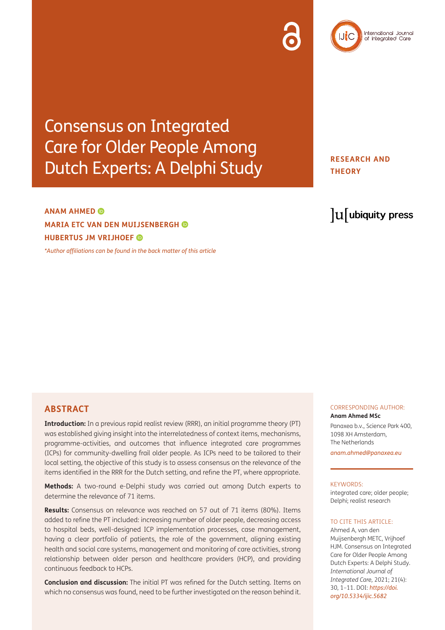Consensus on Integrated Care for Older People Among Dutch Experts: A Delphi Study

## **ANAM AHMED MARIA ETC VAN DEN MUIJSENBERGH HUBERTUS JM VRIJHOEF**

*[\\*Author affiliations can be found in the back matter of this article](#page-7-0)*

## **RESEARCH AND THEORY**

# lu ubiquity press

International Journal<br>of Integrated Care

## **ABSTRACT**

**Introduction:** In a previous rapid realist review (RRR), an initial programme theory (PT) was established giving insight into the interrelatedness of context items, mechanisms, programme-activities, and outcomes that influence integrated care programmes (ICPs) for community-dwelling frail older people. As ICPs need to be tailored to their local setting, the objective of this study is to assess consensus on the relevance of the items identified in the RRR for the Dutch setting, and refine the PT, where appropriate.

**Methods:** A two-round e-Delphi study was carried out among Dutch experts to determine the relevance of 71 items.

**Results:** Consensus on relevance was reached on 57 out of 71 items (80%). Items added to refine the PT included: increasing number of older people, decreasing access to hospital beds, well-designed ICP implementation processes, case management, having a clear portfolio of patients, the role of the government, aligning existing health and social care systems, management and monitoring of care activities, strong relationship between older person and healthcare providers (HCP), and providing continuous feedback to HCPs.

**Conclusion and discussion:** The initial PT was refined for the Dutch setting. Items on which no consensus was found, need to be further investigated on the reason behind it.

#### CORRESPONDING AUTHOR: **Anam Ahmed MSc**

Panaxea b.v., Science Park 400, 1098 XH Amsterdam, The Netherlands *[anam.ahmed@panaxea.eu](mailto:anam.ahmed@panaxea.eu)*

#### KEYWORDS:

integrated care; older people; Delphi; realist research

#### TO CITE THIS ARTICLE:

Ahmed A, van den Muijsenbergh METC, Vrijhoef HJM. Consensus on Integrated Care for Older People Among Dutch Experts: A Delphi Study. *International Journal of Integrated Care,* 2021; 21(4): 30, 1–11. DOI: *[https://doi.](https://doi.org/10.5334/ijic.5682) [org/10.5334/ijic.5682](https://doi.org/10.5334/ijic.5682)*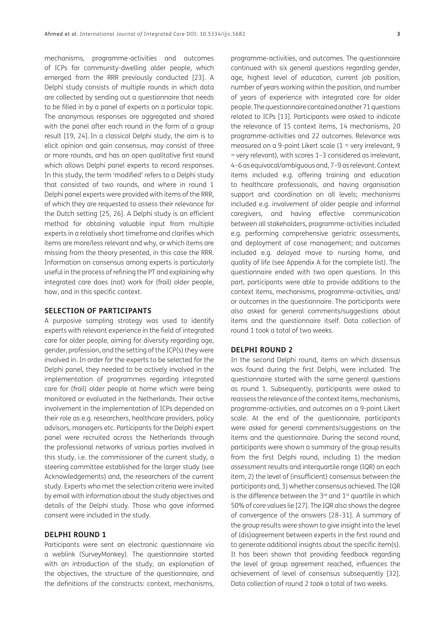mechanisms, programme-activities and outcomes of ICPs for community-dwelling older people, which emerged from the RRR previously conducted [\[23](#page-9-0)]. A Delphi study consists of multiple rounds in which data are collected by sending out a questionnaire that needs to be filled in by a panel of experts on a particular topic. The anonymous responses are aggregated and shared with the panel after each round in the form of a group result [\[19,](#page-9-0) [24](#page-9-0)]. In a classical Delphi study, the aim is to elicit opinion and gain consensus, may consist of three or more rounds, and has an open qualitative first round which allows Delphi panel experts to record responses. In this study, the term 'modified' refers to a Delphi study that consisted of two rounds, and where in round 1 Delphi panel experts were provided with items of the RRR, of which they are requested to assess their relevance for the Dutch setting [\[25](#page-9-0), [26\]](#page-9-0). A Delphi study is an efficient method for obtaining valuable input from multiple experts in a relatively short timeframe and clarifies which items are more/less relevant and why, or which items are missing from the theory presented, in this case the RRR. Information on consensus among experts is particularly useful in the process of refining the PT and explaining why integrated care does (not) work for (frail) older people, how, and in this specific context.

#### **SELECTION OF PARTICIPANTS**

A purposive sampling strategy was used to identify experts with relevant experience in the field of integrated care for older people, aiming for diversity regarding age, gender, profession, and the setting of the ICP(s) they were involved in. In order for the experts to be selected for the Delphi panel, they needed to be actively involved in the implementation of programmes regarding integrated care for (frail) older people at home which were being monitored or evaluated in the Netherlands. Their active involvement in the implementation of ICPs depended on their role as e.g. researchers, healthcare providers, policy advisors, managers etc. Participants for the Delphi expert panel were recruited across the Netherlands through the professional networks of various parties involved in this study, i.e. the commissioner of the current study, a steering committee established for the larger study (see Acknowledgements) and, the researchers of the current study. Experts who met the selection criteria were invited by email with information about the study objectives and details of the Delphi study. Those who gave informed consent were included in the study.

#### **DELPHI ROUND 1**

Participants were sent an electronic questionnaire via a weblink (SurveyMonkey). The questionnaire started with an introduction of the study, an explanation of the objectives, the structure of the questionnaire, and the definitions of the constructs: context, mechanisms,

programme-activities, and outcomes. The questionnaire continued with six general questions regarding gender, age, highest level of education, current job position, number of years working within the position, and number of years of experience with integrated care for older people. The questionnaire contained another 71 questions related to ICPs [[13](#page-8-0)]. Participants were asked to indicate the relevance of 15 context items, 14 mechanisms, 20 programme-activities and 22 outcomes. Relevance was measured on a 9-point Likert scale (1 = very irrelevant, 9 = very relevant), with scores 1–3 considered as irrelevant, 4–6 as equivocal/ambiguous and, 7–9 as relevant. Context items included e.g. offering training and education to healthcare professionals, and having organisation support and coordination on all levels; mechanisms included e.g. involvement of older people and informal caregivers, and having effective communication between all stakeholders, programme-activities included e.g. performing comprehensive geriatric assessments, and deployment of case management; and outcomes included e.g. delayed move to nursing home, and quality of life (see Appendix A for the complete list). The questionnaire ended with two open questions. In this part, participants were able to provide additions to the context items, mechanisms, programme-activities, and/ or outcomes in the questionnaire. The participants were also asked for general comments/suggestions about items and the questionnaire itself. Data collection of round 1 took a total of two weeks.

#### **DELPHI ROUND 2**

In the second Delphi round, items on which dissensus was found during the first Delphi, were included. The questionnaire started with the same general questions as round 1. Subsequently, participants were asked to reassess the relevance of the context items, mechanisms, programme-activities, and outcomes on a 9-point Likert scale. At the end of the questionnaire, participants were asked for general comments/suggestions on the items and the questionnaire. During the second round, participants were shown a summary of the group results from the first Delphi round, including 1) the median assessment results and interquartile range (IQR) on each item, 2) the level of (insufficient) consensus between the participants and, 3) whether consensus achieved. The IQR is the difference between the  $3<sup>rd</sup>$  and  $1<sup>st</sup>$  quartile in which 50% of core values lie [\[27\]](#page-9-0). The IQR also shows the degree of convergence of the answers [[28–31](#page-9-0)]. A summary of the group results were shown to give insight into the level of (dis)agreement between experts in the first round and to generate additional insights about the specific item(s). It has been shown that providing feedback regarding the level of group agreement reached, influences the achievement of level of consensus subsequently [\[32\]](#page-9-0). Data collection of round 2 took a total of two weeks.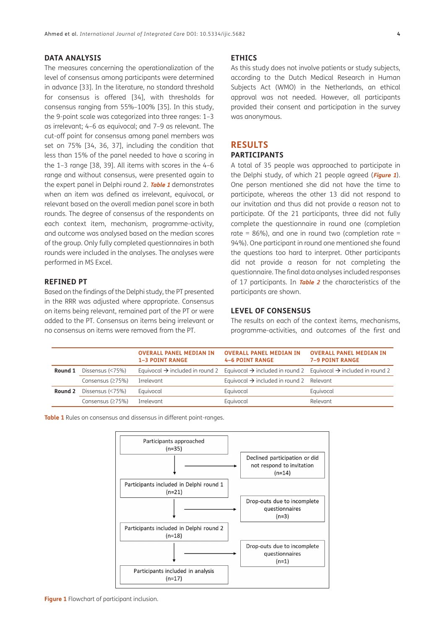#### **DATA ANALYSIS**

The measures concerning the operationalization of the level of consensus among participants were determined in advance [\[33\]](#page-9-0). In the literature, no standard threshold for consensus is offered [[34](#page-9-0)], with thresholds for consensus ranging from 55%–100% [[35\]](#page-9-0). In this study, the 9-point scale was categorized into three ranges: 1–3 as irrelevant; 4–6 as equivocal; and 7–9 as relevant. The cut-off point for consensus among panel members was set on 75% [\[34](#page-9-0), [36](#page-9-0), [37\]](#page-9-0), including the condition that less than 15% of the panel needed to have a scoring in the 1–3 range [\[38](#page-9-0), [39\]](#page-9-0). All items with scores in the 4–6 range and without consensus, were presented again to the expert panel in Delphi round 2. **[Table 1](#page-3-0)** demonstrates when an item was defined as irrelevant, equivocal, or relevant based on the overall median panel score in both rounds. The degree of consensus of the respondents on each context item, mechanism, programme-activity, and outcome was analysed based on the median scores of the group. Only fully completed questionnaires in both rounds were included in the analyses. The analyses were performed in MS Excel.

#### **REFINED PT**

Based on the findings of the Delphi study, the PT presented in the RRR was adjusted where appropriate. Consensus on items being relevant, remained part of the PT or were added to the PT. Consensus on items being irrelevant or no consensus on items were removed from the PT.

#### **ETHICS**

As this study does not involve patients or study subjects, according to the Dutch Medical Research in Human Subjects Act (WMO) in the Netherlands, an ethical approval was not needed. However, all participants provided their consent and participation in the survey was anonymous.

## **RESULTS**

### **PARTICIPANTS**

A total of 35 people was approached to participate in the Delphi study, of which 21 people agreed (**[Figure 1](#page-3-1)**). One person mentioned she did not have the time to participate, whereas the other 13 did not respond to our invitation and thus did not provide a reason not to participate. Of the 21 participants, three did not fully complete the questionnaire in round one (completion rate =  $86\%$ ), and one in round two (completion rate = 94%). One participant in round one mentioned she found the questions too hard to interpret. Other participants did not provide a reason for not completing the questionnaire. The final data analyses included responses of 17 participants. In **[Table 2](#page-4-0)** the characteristics of the participants are shown.

#### **LEVEL OF CONSENSUS**

The results on each of the context items, mechanisms, programme-activities, and outcomes of the first and

|         |                  | <b>OVERALL PANEL MEDIAN IN</b><br><b>1-3 POINT RANGE</b> | <b>OVERALL PANEL MEDIAN IN</b><br><b>4-6 POINT RANGE</b>                                                                            | <b>OVERALL PANEL MEDIAN IN</b><br><b>7-9 POINT RANGE</b> |
|---------|------------------|----------------------------------------------------------|-------------------------------------------------------------------------------------------------------------------------------------|----------------------------------------------------------|
| Round 1 | Dissensus (<75%) |                                                          | Equivocal $\rightarrow$ included in round 2 Equivocal $\rightarrow$ included in round 2 Equivocal $\rightarrow$ included in round 2 |                                                          |
|         | Consensus (≥75%) | Irrelevant                                               | Equivocal $\rightarrow$ included in round 2                                                                                         | Relevant                                                 |
| Round 2 | Dissensus (<75%) | Equivocal                                                | Equivocal                                                                                                                           | Equivocal                                                |
|         | Consensus (≥75%) | Irrelevant                                               | Equivocal                                                                                                                           | Relevant                                                 |

<span id="page-3-0"></span>**Table 1** Rules on consensus and dissensus in different point-ranges.



<span id="page-3-1"></span>**Figure 1** Flowchart of participant inclusion.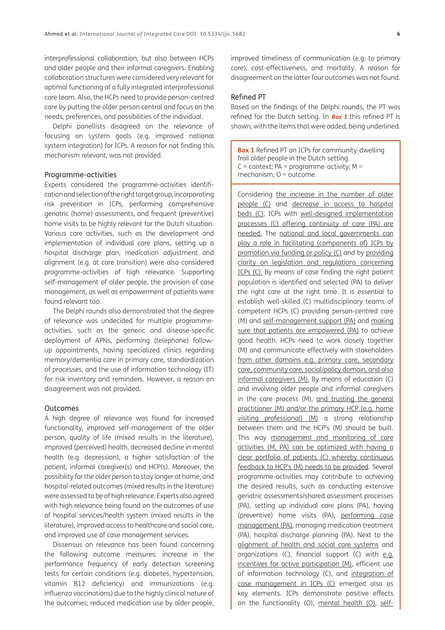interprofessional collaboration, but also between HCPs and older people and their informal caregivers. Enabling collaboration structures were considered very relevant for optimal functioning of a fully integrated interprofessional care team. Also, the HCPs need to provide person-centred care by putting the older person central and focus on the needs, preferences, and possibilities of the individual.

Delphi panellists disagreed on the relevance of focusing on system goals (e.g. improved national system integration) for ICPs. A reason for not finding this mechanism relevant, was not provided.

#### Programme-activities

Experts considered the programme-activities identification and selection of the right target group, incorporating risk prevention in ICPs, performing comprehensive geriatric (home) assessments, and frequent (preventive) home visits to be highly relevant for the Dutch situation. Various care activities, such as the development and implementation of individual care plans, setting up a hospital discharge plan, medication adjustment and alignment (e.g. at care transition) were also considered programme-activities of high relevance. Supporting self-management of older people, the provision of case management, as well as empowerment of patients were found relevant too.

The Delphi rounds also demonstrated that the degree of relevance was undecided for multiple programmeactivities, such as the generic and disease-specific deployment of APNs, performing (telephone) followup appointments, having specialized clinics regarding memory/dementia care in primary care, standardization of processes, and the use of information technology (IT) for risk inventory and reminders. However, a reason on disagreement was not provided.

#### Outcomes

A high degree of relevance was found for increased functionality, improved self-management of the older person, quality of life (mixed results in the literature), improved (perceived) health, decreased decline in mental health (e.g. depression), a higher satisfaction of the patient, informal caregiver(s) and HCP(s). Moreover, the possibility for the older person to stay longer at home, and hospital-related outcomes (mixed results in the literature) were assessed to be of high relevance. Experts also agreed with high relevance being found on the outcomes of use of hospital services/health system (mixed results in the literature), improved access to healthcare and social care, and improved use of case management services.

Dissensus on relevance has been found concerning the following outcome measures: increase in the performance frequency of early detection screening tests for certain conditions (e.g. diabetes, hypertension, vitamin B12 deficiency) and immunizations (e.g. influenza vaccinations) due to the highly clinical nature of the outcomes; reduced medication use by older people,

improved timeliness of communication (e.g. to primary care), cost-effectiveness, and mortality. A reason for disagreement on the latter four outcomes was not found.

#### Refined PT

Based on the findings of the Delphi rounds, the PT was refined for the Dutch setting. In **[Box 1](#page-5-0)** this refined PT is shown, with the items that were added, being underlined.

<span id="page-5-0"></span>**Box 1** Refined PT on ICPs for community-dwelling frail older people in the Dutch setting.  $C =$  context; PA = programme-activity; M = mechanism; O = outcome

Considering the increase in the number of older people (C) and decrease in access to hospital beds (C), ICPs with well-designed implementation processes (C) offering continuity of care (PA) are needed. The national and local governments can play a role in facilitating (components of) ICPs by promotion via funding or policy (C) and by providing clarity on legislation and regulations concerning ICPs (C). By means of case finding the right patient population is identified and selected (PA) to deliver the right care at the right time. It is essential to establish well-skilled (C) multidisciplinary teams of competent HCPs (C) providing person-centred care (M) and self-management support (PA) and making sure that patients are empowered (PA) to achieve good health. HCPs need to work closely together (M) and communicate effectively with stakeholders from other domains e.g. primary care, secondary care, community care, social/policy domain, and also informal caregivers (M). By means of education (C) and involving older people and informal caregivers in the care process (M), and trusting the general practitioner (M) and/or the primary HCP (e.g. home visiting professional) (M) a strong relationship between them and the HCP's (M) should be built. This way management and monitoring of care activities (M, PA) can be optimized with having a clear portfolio of patients (C) whereby continuous feedback to HCP's (M) needs to be provided. Several programme-activities may contribute to achieving the desired results, such as conducting extensive geriatric assessments/shared assessment processes (PA), setting up individual care plans (PA), having (preventive) home visits (PA), performing case management (PA), managing medication treatment (PA), hospital discharge planning (PA). Next to the alignment of health and social care systems and organizations (C), financial support (C) with e.g. incentives for active participation (M), efficient use of information technology (C), and integration of case management in ICPs (C) emerged also as key elements. ICPs demonstrate positive effects on the functionality (O), mental health (O), self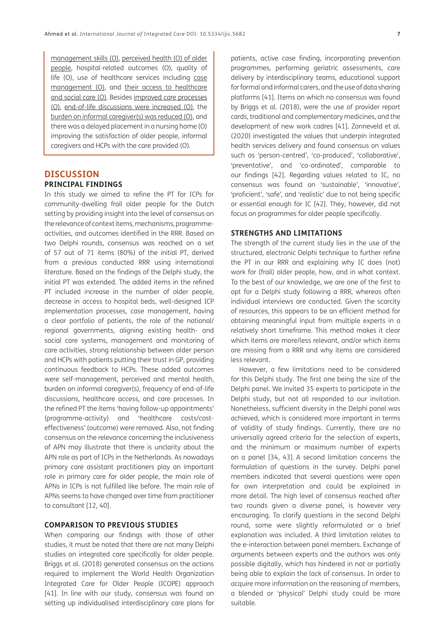management skills (O), perceived health (O) of older people, hospital-related outcomes (O), quality of life (O), use of healthcare services including case management (O), and their access to healthcare and social care (O). Besides improved care processes (O), end-of-life discussions were increased (O), the burden on informal caregiver(s) was reduced (O), and there was a delayed placement in a nursing home (O) improving the satisfaction of older people, informal caregivers and HCPs with the care provided (O).

## **DISCUSSION PRINCIPAL FINDINGS**

In this study we aimed to refine the PT for ICPs for community-dwelling frail older people for the Dutch setting by providing insight into the level of consensus on the relevance of context items, mechanisms, programmeactivities, and outcomes identified in the RRR. Based on two Delphi rounds, consensus was reached on a set of 57 out of 71 items (80%) of the initial PT, derived from a previous conducted RRR using international literature. Based on the findings of the Delphi study, the initial PT was extended. The added items in the refined PT included increase in the number of older people, decrease in access to hospital beds, well-designed ICP implementation processes, case management, having a clear portfolio of patients, the role of the national/ regional governments, aligning existing health- and social care systems, management and monitoring of care activities, strong relationship between older person and HCPs with patients putting their trust in GP, providing continuous feedback to HCPs. These added outcomes were self-management, perceived and mental health, burden on informal caregiver(s), frequency of end-of-life discussions, healthcare access, and care processes. In the refined PT the items 'having follow-up appointments' (programme-activity) and 'healthcare costs/costeffectiveness' (outcome) were removed. Also, not finding consensus on the relevance concerning the inclusiveness of APN may illustrate that there is unclarity about the APN role as part of ICPs in the Netherlands. As nowadays primary care assistant practitioners play an important role in primary care for older people, the main role of APNs in ICPs is not fulfilled like before. The main role of APNs seems to have changed over time from practitioner to consultant [\[12,](#page-8-0) [40](#page-9-0)].

#### **COMPARISON TO PREVIOUS STUDIES**

When comparing our findings with those of other studies, it must be noted that there are not many Delphi studies on integrated care specifically for older people. Briggs et al. (2018) generated consensus on the actions required to implement the World Health Organization Integrated Care for Older People (ICOPE) approach [\[41\]](#page-10-0). In line with our study, consensus was found on setting up individualised interdisciplinary care plans for

patients, active case finding, incorporating prevention programmes, performing geriatric assessments, care delivery by interdisciplinary teams, educational support for formal and informal carers, and the use of data sharing platforms [\[41\]](#page-10-0). Items on which no consensus was found by Briggs et al. (2018), were the use of provider report cards, traditional and complementary medicines, and the development of new work cadres [[41](#page-10-0)]. Zonneveld et al. (2020) investigated the values that underpin integrated health services delivery and found consensus on values such as 'person-centred', 'co-produced', 'collaborative', 'preventative', and 'co-ordinated', comparable to our findings [[42](#page-10-0)]. Regarding values related to IC, no consensus was found on 'sustainable', 'innovative', 'proficient', 'safe', and 'realistic' due to not being specific or essential enough for IC [[42](#page-10-0)]. They, however, did not focus on programmes for older people specifically.

#### **STRENGTHS AND LIMITATIONS**

The strength of the current study lies in the use of the structured, electronic Delphi technique to further refine the PT in our RRR and explaining why IC does (not) work for (frail) older people, how, and in what context. To the best of our knowledge, we are one of the first to opt for a Delphi study following a RRR, whereas often individual interviews are conducted. Given the scarcity of resources, this appears to be an efficient method for obtaining meaningful input from multiple experts in a relatively short timeframe. This method makes it clear which items are more/less relevant, and/or which items are missing from a RRR and why items are considered less relevant.

However, a few limitations need to be considered for this Delphi study. The first one being the size of the Delphi panel. We invited 35 experts to participate in the Delphi study, but not all responded to our invitation. Nonetheless, sufficient diversity in the Delphi panel was achieved, which is considered more important in terms of validity of study findings. Currently, there are no universally agreed criteria for the selection of experts, and the minimum or maximum number of experts on a panel [[34](#page-9-0), [43\]](#page-10-0). A second limitation concerns the formulation of questions in the survey. Delphi panel members indicated that several questions were open for own interpretation and could be explained in more detail. The high level of consensus reached after two rounds given a diverse panel, is however very encouraging. To clarify questions in the second Delphi round, some were slightly reformulated or a brief explanation was included. A third limitation relates to the e-interaction between panel members. Exchange of arguments between experts and the authors was only possible digitally, which has hindered in not or partially being able to explain the lack of consensus. In order to acquire more information on the reasoning of members, a blended or 'physical' Delphi study could be more suitable.